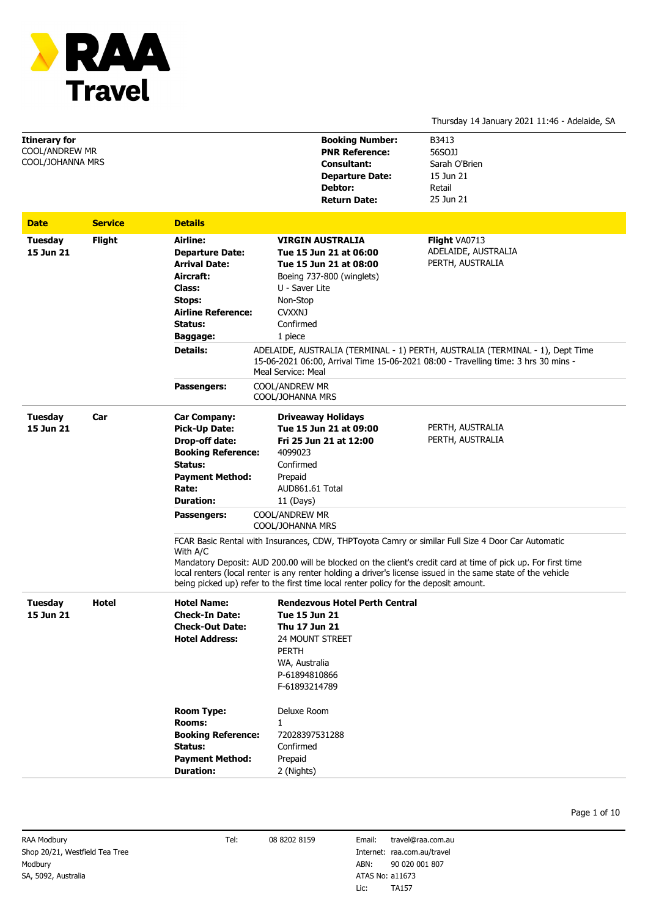

# Thursday 14 January 2021 11:46 - Adelaide, SA

| Itinerary for<br><b>COOL/ANDREW MR</b><br>COOL/JOHANNA MRS |                |                                                                                                                                                                     | <b>Booking Number:</b><br><b>PNR Reference:</b><br><b>Consultant:</b><br><b>Departure Date:</b><br>Debtor:<br><b>Return Date:</b>                                                         | B3413<br>56SOJJ<br>Sarah O'Brien<br>15 Jun 21<br>Retail<br>25 Jun 21                                                                                                                                                                                                                                                              |  |
|------------------------------------------------------------|----------------|---------------------------------------------------------------------------------------------------------------------------------------------------------------------|-------------------------------------------------------------------------------------------------------------------------------------------------------------------------------------------|-----------------------------------------------------------------------------------------------------------------------------------------------------------------------------------------------------------------------------------------------------------------------------------------------------------------------------------|--|
| <b>Date</b>                                                | <b>Service</b> | <b>Details</b>                                                                                                                                                      |                                                                                                                                                                                           |                                                                                                                                                                                                                                                                                                                                   |  |
| <b>Tuesday</b><br>15 Jun 21                                | <b>Flight</b>  | Airline:<br><b>Departure Date:</b><br><b>Arrival Date:</b><br>Aircraft:<br><b>Class:</b><br>Stops:<br><b>Airline Reference:</b><br>Status:<br>Baggage:              | <b>VIRGIN AUSTRALIA</b><br>Tue 15 Jun 21 at 06:00<br>Tue 15 Jun 21 at 08:00<br>Boeing 737-800 (winglets)<br>U - Saver Lite<br>Non-Stop<br><b>CVXXNJ</b><br>Confirmed<br>1 piece           | <b>Flight VA0713</b><br>ADELAIDE, AUSTRALIA<br>PERTH, AUSTRALIA                                                                                                                                                                                                                                                                   |  |
|                                                            |                | <b>Details:</b>                                                                                                                                                     | ADELAIDE, AUSTRALIA (TERMINAL - 1) PERTH, AUSTRALIA (TERMINAL - 1), Dept Time<br>15-06-2021 06:00, Arrival Time 15-06-2021 08:00 - Travelling time: 3 hrs 30 mins -<br>Meal Service: Meal |                                                                                                                                                                                                                                                                                                                                   |  |
|                                                            |                | Passengers:                                                                                                                                                         | <b>COOL/ANDREW MR</b><br>COOL/JOHANNA MRS                                                                                                                                                 |                                                                                                                                                                                                                                                                                                                                   |  |
| <b>Tuesday</b><br>15 Jun 21                                | Car            | <b>Car Company:</b><br><b>Pick-Up Date:</b><br><b>Drop-off date:</b><br><b>Booking Reference:</b><br>Status:<br><b>Payment Method:</b><br>Rate:<br><b>Duration:</b> | <b>Driveaway Holidays</b><br>Tue 15 Jun 21 at 09:00<br>Fri 25 Jun 21 at 12:00<br>4099023<br>Confirmed<br>Prepaid<br>AUD861.61 Total<br>$11$ (Days)                                        | PERTH, AUSTRALIA<br>PERTH, AUSTRALIA                                                                                                                                                                                                                                                                                              |  |
|                                                            |                | Passengers:                                                                                                                                                         | COOL/ANDREW MR<br>COOL/JOHANNA MRS                                                                                                                                                        |                                                                                                                                                                                                                                                                                                                                   |  |
|                                                            |                | With A/C                                                                                                                                                            | being picked up) refer to the first time local renter policy for the deposit amount.                                                                                                      | FCAR Basic Rental with Insurances, CDW, THPToyota Camry or similar Full Size 4 Door Car Automatic<br>Mandatory Deposit: AUD 200.00 will be blocked on the client's credit card at time of pick up. For first time<br>local renters (local renter is any renter holding a driver's license issued in the same state of the vehicle |  |
| Tuesday<br>15 Jun 21                                       | Hotel          | <b>Hotel Name:</b><br><b>Check-In Date:</b><br><b>Check-Out Date:</b><br><b>Hotel Address:</b>                                                                      | <b>Rendezvous Hotel Perth Central</b><br><b>Tue 15 Jun 21</b><br>Thu 17 Jun 21<br><b>24 MOUNT STREET</b><br><b>PERTH</b><br>WA, Australia<br>P-61894810866<br>F-61893214789               |                                                                                                                                                                                                                                                                                                                                   |  |
|                                                            |                | <b>Room Type:</b><br><b>Rooms:</b><br><b>Booking Reference:</b><br>Status:<br><b>Payment Method:</b><br><b>Duration:</b>                                            | Deluxe Room<br>1<br>72028397531288<br>Confirmed<br>Prepaid<br>2 (Nights)                                                                                                                  |                                                                                                                                                                                                                                                                                                                                   |  |

Internet: raa.com.au/travel ABN: 90 020 001 807 Email: Lic: travel@raa.com.au TA157 ATAS No: a11673

Page 1 of 10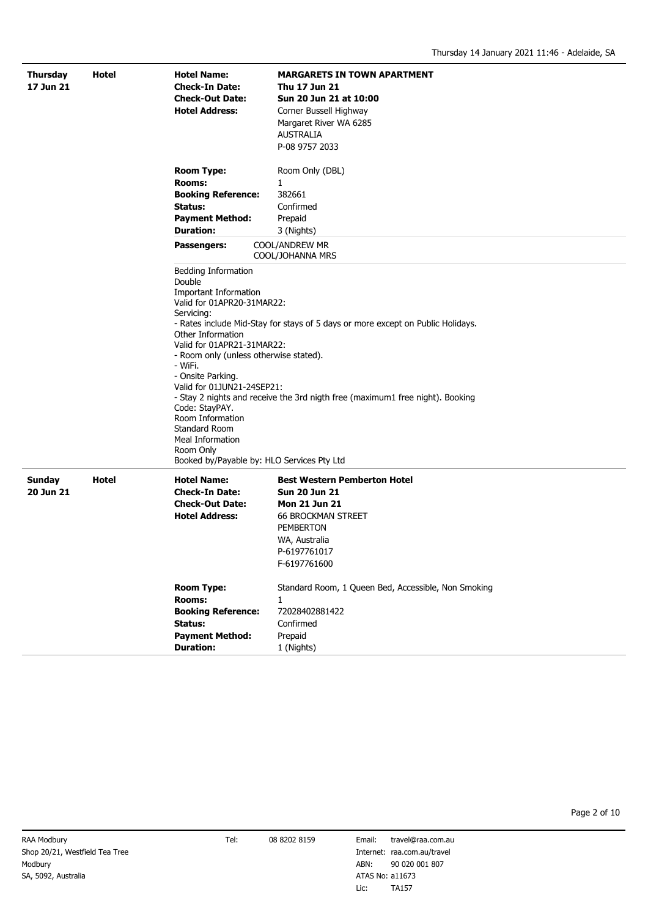| <b>Thursday</b><br>17 Jun 21 | Hotel | <b>Hotel Name:</b><br><b>Check-In Date:</b><br><b>Check-Out Date:</b><br><b>Hotel Address:</b>                                                                                                                                                                                                                                                                                                                                                                                                                                                                                                     | <b>MARGARETS IN TOWN APARTMENT</b><br>Thu 17 Jun 21<br>Sun 20 Jun 21 at 10:00<br>Corner Bussell Highway<br>Margaret River WA 6285<br><b>AUSTRALIA</b><br>P-08 9757 2033               |  |
|------------------------------|-------|----------------------------------------------------------------------------------------------------------------------------------------------------------------------------------------------------------------------------------------------------------------------------------------------------------------------------------------------------------------------------------------------------------------------------------------------------------------------------------------------------------------------------------------------------------------------------------------------------|---------------------------------------------------------------------------------------------------------------------------------------------------------------------------------------|--|
|                              |       | <b>Room Type:</b><br>Rooms:<br><b>Booking Reference:</b><br>Status:<br><b>Payment Method:</b><br><b>Duration:</b><br>Passengers:                                                                                                                                                                                                                                                                                                                                                                                                                                                                   | Room Only (DBL)<br>1<br>382661<br>Confirmed<br>Prepaid<br>3 (Nights)<br>COOL/ANDREW MR                                                                                                |  |
|                              |       | COOL/JOHANNA MRS<br>Bedding Information<br>Double<br><b>Important Information</b><br>Valid for 01APR20-31MAR22:<br>Servicing:<br>- Rates include Mid-Stay for stays of 5 days or more except on Public Holidays.<br>Other Information<br>Valid for 01APR21-31MAR22:<br>- Room only (unless otherwise stated).<br>- WiFi.<br>- Onsite Parking.<br>Valid for 01JUN21-24SEP21:<br>- Stay 2 nights and receive the 3rd nigth free (maximum1 free night). Booking<br>Code: StayPAY.<br>Room Information<br>Standard Room<br>Meal Information<br>Room Only<br>Booked by/Payable by: HLO Services Pty Ltd |                                                                                                                                                                                       |  |
| <b>Sunday</b><br>20 Jun 21   | Hotel | <b>Hotel Name:</b><br><b>Check-In Date:</b><br><b>Check-Out Date:</b><br><b>Hotel Address:</b>                                                                                                                                                                                                                                                                                                                                                                                                                                                                                                     | <b>Best Western Pemberton Hotel</b><br><b>Sun 20 Jun 21</b><br><b>Mon 21 Jun 21</b><br><b>66 BROCKMAN STREET</b><br><b>PEMBERTON</b><br>WA, Australia<br>P-6197761017<br>F-6197761600 |  |
|                              |       | <b>Room Type:</b><br><b>Rooms:</b><br><b>Booking Reference:</b><br>Status:<br><b>Payment Method:</b><br><b>Duration:</b>                                                                                                                                                                                                                                                                                                                                                                                                                                                                           | Standard Room, 1 Queen Bed, Accessible, Non Smoking<br>$\mathbf{1}$<br>72028402881422<br>Confirmed<br>Prepaid<br>1 (Nights)                                                           |  |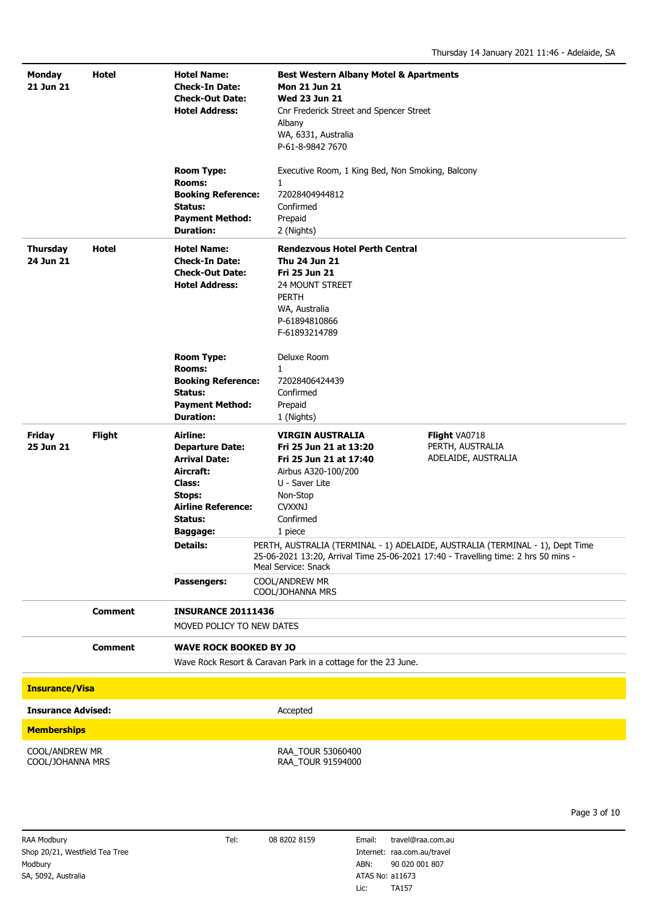| Monday<br>21 Jun 21                           | Hotel          | <b>Hotel Name:</b><br><b>Check-In Date:</b><br><b>Check-Out Date:</b><br><b>Hotel Address:</b>                                                                                                                | <b>Best Western Albany Motel &amp; Apartments</b><br><b>Mon 21 Jun 21</b><br><b>Wed 23 Jun 21</b><br>Cnr Frederick Street and Spencer Street<br>Albany<br>WA, 6331, Australia<br>P-61-8-9842 7670 |                                                          |  |
|-----------------------------------------------|----------------|---------------------------------------------------------------------------------------------------------------------------------------------------------------------------------------------------------------|---------------------------------------------------------------------------------------------------------------------------------------------------------------------------------------------------|----------------------------------------------------------|--|
|                                               |                | <b>Room Type:</b><br><b>Rooms:</b><br><b>Booking Reference:</b><br>Status:<br><b>Payment Method:</b><br><b>Duration:</b>                                                                                      | Executive Room, 1 King Bed, Non Smoking, Balcony<br>$\mathbf{1}$<br>72028404944812<br>Confirmed<br>Prepaid<br>2 (Nights)                                                                          |                                                          |  |
| <b>Thursday</b><br>24 Jun 21                  | <b>Hotel</b>   | <b>Hotel Name:</b><br><b>Check-In Date:</b><br><b>Check-Out Date:</b><br><b>Hotel Address:</b>                                                                                                                | <b>Rendezvous Hotel Perth Central</b><br>Thu 24 Jun 21<br>Fri 25 Jun 21<br>24 MOUNT STREET<br><b>PERTH</b><br>WA, Australia<br>P-61894810866<br>F-61893214789                                     |                                                          |  |
|                                               |                | <b>Room Type:</b><br><b>Rooms:</b><br><b>Booking Reference:</b><br>Status:<br><b>Payment Method:</b><br><b>Duration:</b>                                                                                      | Deluxe Room<br>$\mathbf{1}$<br>72028406424439<br>Confirmed<br>Prepaid<br>1 (Nights)                                                                                                               |                                                          |  |
| <b>Friday</b><br>25 Jun 21                    | <b>Flight</b>  | <b>Airline:</b><br><b>Departure Date:</b><br><b>Arrival Date:</b><br>Aircraft:<br><b>Class:</b><br>Stops:<br><b>Airline Reference:</b><br>Status:<br>Baggage:                                                 | <b>VIRGIN AUSTRALIA</b><br>Fri 25 Jun 21 at 13:20<br>Fri 25 Jun 21 at 17:40<br>Airbus A320-100/200<br>U - Saver Lite<br>Non-Stop<br><b>CVXXNJ</b><br>Confirmed<br>1 piece                         | Flight VA0718<br>PERTH, AUSTRALIA<br>ADELAIDE, AUSTRALIA |  |
|                                               | <b>Comment</b> | <b>Details:</b><br>PERTH, AUSTRALIA (TERMINAL - 1) ADELAIDE, AUSTRALIA (TERMINAL - 1), Dept Time<br>25-06-2021 13:20, Arrival Time 25-06-2021 17:40 - Travelling time: 2 hrs 50 mins -<br>Meal Service: Snack |                                                                                                                                                                                                   |                                                          |  |
|                                               |                | Passengers:                                                                                                                                                                                                   | COOL/ANDREW MR<br>COOL/JOHANNA MRS                                                                                                                                                                |                                                          |  |
|                                               |                | <b>INSURANCE 20111436</b>                                                                                                                                                                                     |                                                                                                                                                                                                   |                                                          |  |
|                                               |                | MOVED POLICY TO NEW DATES                                                                                                                                                                                     |                                                                                                                                                                                                   |                                                          |  |
|                                               | <b>Comment</b> | <b>WAVE ROCK BOOKED BY JO</b>                                                                                                                                                                                 | Wave Rock Resort & Caravan Park in a cottage for the 23 June.                                                                                                                                     |                                                          |  |
| <b>Insurance/Visa</b>                         |                |                                                                                                                                                                                                               |                                                                                                                                                                                                   |                                                          |  |
| <b>Insurance Advised:</b>                     |                |                                                                                                                                                                                                               | Accepted                                                                                                                                                                                          |                                                          |  |
| <b>Memberships</b>                            |                |                                                                                                                                                                                                               |                                                                                                                                                                                                   |                                                          |  |
| COOL/ANDREW MR<br>COOL/JOHANNA MRS            |                | RAA_TOUR 53060400<br>RAA_TOUR 91594000                                                                                                                                                                        |                                                                                                                                                                                                   |                                                          |  |
|                                               |                |                                                                                                                                                                                                               |                                                                                                                                                                                                   | Page 3 of 10                                             |  |
| RAA Modbury<br>Shop 20/21, Westfield Tea Tree |                | Tel:                                                                                                                                                                                                          | 08 8202 8159<br>Email:<br>Internet: raa.com.au/travel                                                                                                                                             | travel@raa.com.au                                        |  |

Modbury SA, 5092, Australia

ABN: 90 020 001 807 Lic: TA157 ATAS No: a11673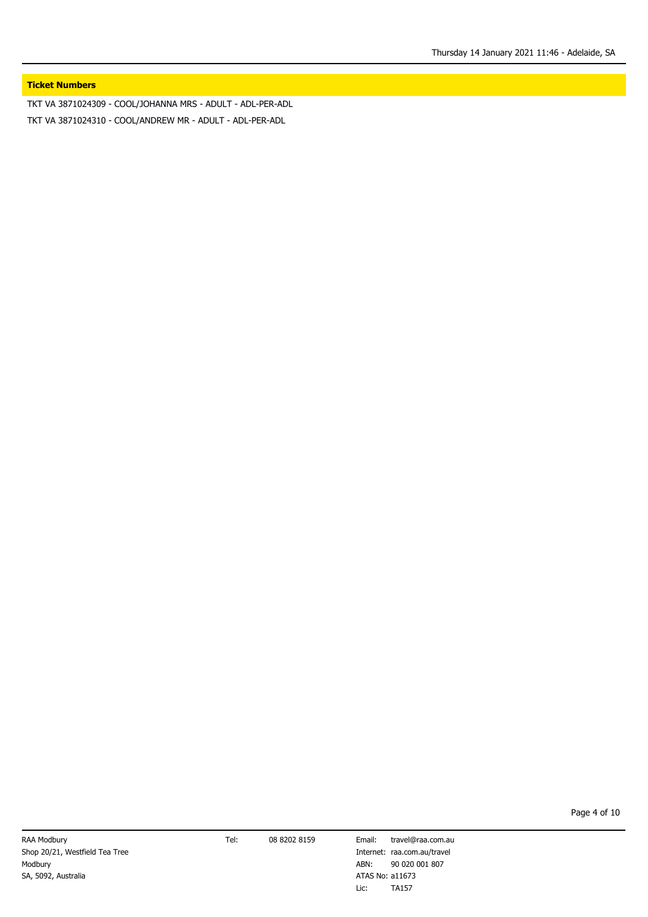# **Ticket Numbers**

TKT VA 3871024309 - COOL/JOHANNA MRS - ADULT - ADL-PER-ADL TKT VA 3871024310 - COOL/ANDREW MR - ADULT - ADL-PER-ADL

Internet: raa.com.au/travel ABN: 90 020 001 807 Email: travel@raa.com.au Lic: TA157 ATAS No: a11673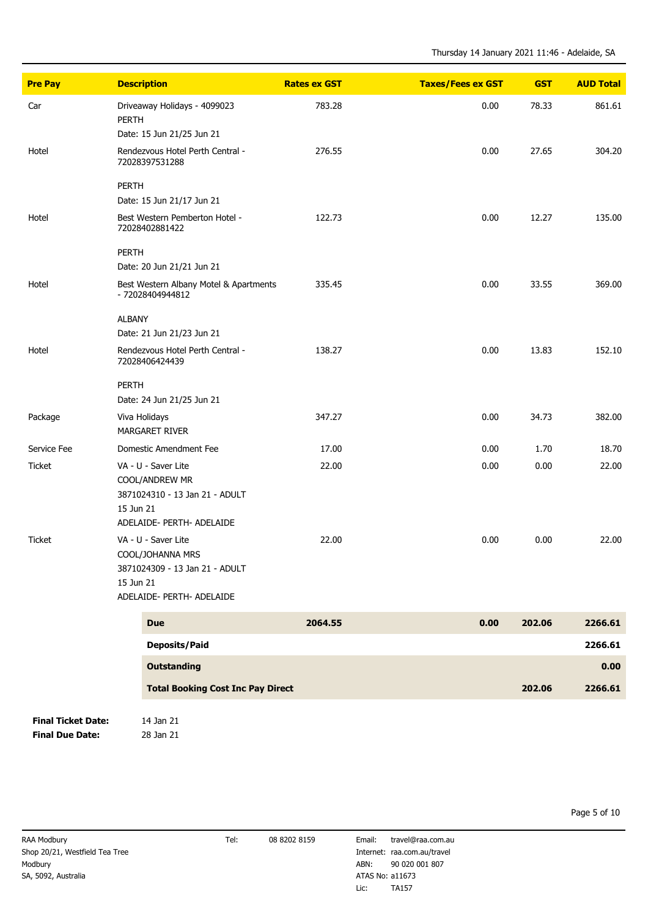| <b>Pre Pay</b>            | <b>Description</b>                                         | <b>Rates ex GST</b> | <b>Taxes/Fees ex GST</b> | <b>GST</b> | <b>AUD Total</b> |
|---------------------------|------------------------------------------------------------|---------------------|--------------------------|------------|------------------|
| Car                       | Driveaway Holidays - 4099023<br><b>PERTH</b>               | 783.28              | 0.00                     | 78.33      | 861.61           |
|                           | Date: 15 Jun 21/25 Jun 21                                  |                     |                          |            |                  |
| Hotel                     | Rendezvous Hotel Perth Central -<br>72028397531288         | 276.55              | 0.00                     | 27.65      | 304.20           |
|                           | <b>PERTH</b>                                               |                     |                          |            |                  |
|                           | Date: 15 Jun 21/17 Jun 21                                  |                     |                          |            |                  |
| Hotel                     | Best Western Pemberton Hotel -<br>72028402881422           | 122.73              | 0.00                     | 12.27      | 135.00           |
|                           | <b>PERTH</b>                                               |                     |                          |            |                  |
|                           | Date: 20 Jun 21/21 Jun 21                                  |                     |                          |            |                  |
| Hotel                     | Best Western Albany Motel & Apartments<br>- 72028404944812 | 335.45              | 0.00                     | 33.55      | 369.00           |
|                           | <b>ALBANY</b>                                              |                     |                          |            |                  |
|                           | Date: 21 Jun 21/23 Jun 21                                  |                     |                          |            |                  |
| Hotel                     | Rendezvous Hotel Perth Central -<br>72028406424439         | 138.27              | 0.00                     | 13.83      | 152.10           |
|                           | <b>PERTH</b>                                               |                     |                          |            |                  |
|                           | Date: 24 Jun 21/25 Jun 21                                  |                     |                          |            |                  |
| Package                   | Viva Holidays                                              | 347.27              | 0.00                     | 34.73      | 382.00           |
|                           | <b>MARGARET RIVER</b>                                      |                     |                          |            |                  |
| Service Fee               | Domestic Amendment Fee                                     | 17.00               | 0.00                     | 1.70       | 18.70            |
| <b>Ticket</b>             | VA - U - Saver Lite                                        | 22.00               | 0.00                     | 0.00       | 22.00            |
|                           | COOL/ANDREW MR                                             |                     |                          |            |                  |
|                           | 3871024310 - 13 Jan 21 - ADULT                             |                     |                          |            |                  |
|                           | 15 Jun 21                                                  |                     |                          |            |                  |
|                           | ADELAIDE- PERTH- ADELAIDE                                  |                     |                          |            |                  |
| <b>Ticket</b>             | VA - U - Saver Lite<br>COOL/JOHANNA MRS                    | 22.00               | 0.00                     | 0.00       | 22.00            |
|                           | 3871024309 - 13 Jan 21 - ADULT                             |                     |                          |            |                  |
|                           | 15 Jun 21                                                  |                     |                          |            |                  |
|                           | ADELAIDE- PERTH- ADELAIDE                                  |                     |                          |            |                  |
|                           | <b>Due</b>                                                 | 2064.55             | 0.00                     | 202.06     | 2266.61          |
|                           | <b>Deposits/Paid</b>                                       |                     |                          |            | 2266.61          |
|                           | <b>Outstanding</b>                                         |                     |                          |            | 0.00             |
|                           | <b>Total Booking Cost Inc Pay Direct</b>                   |                     |                          | 202.06     | 2266.61          |
| <b>Final Ticket Date:</b> | 14 Jan 21                                                  |                     |                          |            |                  |

**Final Due Date:** 28 Jan 21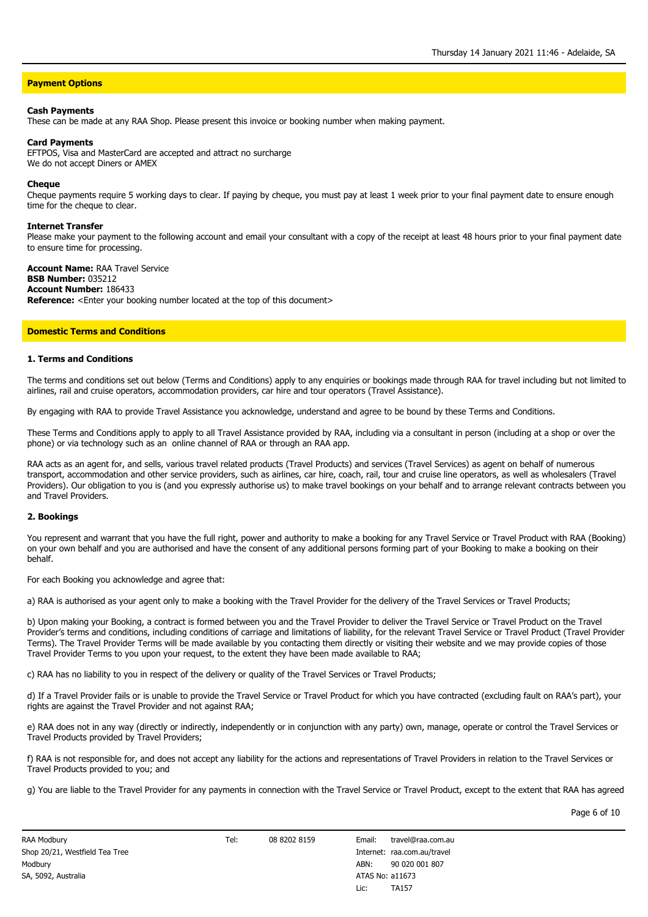# **Payment Options**

#### **Cash Payments**

These can be made at any RAA Shop. Please present this invoice or booking number when making payment.

#### **Card Payments**

EFTPOS, Visa and MasterCard are accepted and attract no surcharge We do not accept Diners or AMEX

#### **Cheque**

Cheque payments require 5 working days to clear. If paying by cheque, you must pay at least 1 week prior to your final payment date to ensure enough time for the cheque to clear.

#### **Internet Transfer**

Please make your payment to the following account and email your consultant with a copy of the receipt at least 48 hours prior to your final payment date to ensure time for processing.

**Account Name:** RAA Travel Service **BSB Number:** 035212 **Account Number:** 186433 **Reference:** <Enter your booking number located at the top of this document>

## **Domestic Terms and Conditions**

#### **1. Terms and Conditions**

The terms and conditions set out below (Terms and Conditions) apply to any enquiries or bookings made through RAA for travel including but not limited to airlines, rail and cruise operators, accommodation providers, car hire and tour operators (Travel Assistance).

By engaging with RAA to provide Travel Assistance you acknowledge, understand and agree to be bound by these Terms and Conditions.

These Terms and Conditions apply to apply to all Travel Assistance provided by RAA, including via a consultant in person (including at a shop or over the phone) or via technology such as an online channel of RAA or through an RAA app.

RAA acts as an agent for, and sells, various travel related products (Travel Products) and services (Travel Services) as agent on behalf of numerous transport, accommodation and other service providers, such as airlines, car hire, coach, rail, tour and cruise line operators, as well as wholesalers (Travel Providers). Our obligation to you is (and you expressly authorise us) to make travel bookings on your behalf and to arrange relevant contracts between you and Travel Providers.

#### **2. Bookings**

You represent and warrant that you have the full right, power and authority to make a booking for any Travel Service or Travel Product with RAA (Booking) on your own behalf and you are authorised and have the consent of any additional persons forming part of your Booking to make a booking on their behalf.

For each Booking you acknowledge and agree that:

a) RAA is authorised as your agent only to make a booking with the Travel Provider for the delivery of the Travel Services or Travel Products;

b) Upon making your Booking, a contract is formed between you and the Travel Provider to deliver the Travel Service or Travel Product on the Travel Provider's terms and conditions, including conditions of carriage and limitations of liability, for the relevant Travel Service or Travel Product (Travel Provider Terms). The Travel Provider Terms will be made available by you contacting them directly or visiting their website and we may provide copies of those Travel Provider Terms to you upon your request, to the extent they have been made available to RAA;

c) RAA has no liability to you in respect of the delivery or quality of the Travel Services or Travel Products;

d) If a Travel Provider fails or is unable to provide the Travel Service or Travel Product for which you have contracted (excluding fault on RAA's part), your rights are against the Travel Provider and not against RAA;

e) RAA does not in any way (directly or indirectly, independently or in conjunction with any party) own, manage, operate or control the Travel Services or Travel Products provided by Travel Providers;

f) RAA is not responsible for, and does not accept any liability for the actions and representations of Travel Providers in relation to the Travel Services or Travel Products provided to you; and

g) You are liable to the Travel Provider for any payments in connection with the Travel Service or Travel Product, except to the extent that RAA has agreed

Page 6 of 10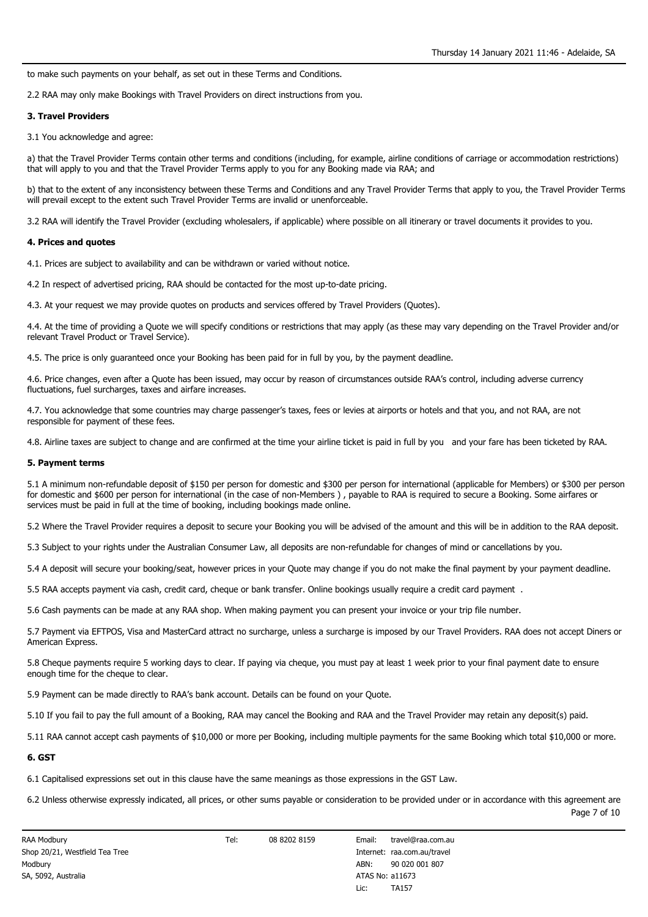to make such payments on your behalf, as set out in these Terms and Conditions.

2.2 RAA may only make Bookings with Travel Providers on direct instructions from you.

### **3. Travel Providers**

3.1 You acknowledge and agree:

a) that the Travel Provider Terms contain other terms and conditions (including, for example, airline conditions of carriage or accommodation restrictions) that will apply to you and that the Travel Provider Terms apply to you for any Booking made via RAA; and

b) that to the extent of any inconsistency between these Terms and Conditions and any Travel Provider Terms that apply to you, the Travel Provider Terms will prevail except to the extent such Travel Provider Terms are invalid or unenforceable.

3.2 RAA will identify the Travel Provider (excluding wholesalers, if applicable) where possible on all itinerary or travel documents it provides to you.

#### **4. Prices and quotes**

4.1. Prices are subject to availability and can be withdrawn or varied without notice.

4.2 In respect of advertised pricing, RAA should be contacted for the most up-to-date pricing.

4.3. At your request we may provide quotes on products and services offered by Travel Providers (Quotes).

4.4. At the time of providing a Quote we will specify conditions or restrictions that may apply (as these may vary depending on the Travel Provider and/or relevant Travel Product or Travel Service).

4.5. The price is only guaranteed once your Booking has been paid for in full by you, by the payment deadline.

4.6. Price changes, even after a Quote has been issued, may occur by reason of circumstances outside RAA's control, including adverse currency fluctuations, fuel surcharges, taxes and airfare increases.

4.7. You acknowledge that some countries may charge passenger's taxes, fees or levies at airports or hotels and that you, and not RAA, are not responsible for payment of these fees.

4.8. Airline taxes are subject to change and are confirmed at the time your airline ticket is paid in full by you and your fare has been ticketed by RAA.

#### **5. Payment terms**

5.1 A minimum non-refundable deposit of \$150 per person for domestic and \$300 per person for international (applicable for Members) or \$300 per person for domestic and \$600 per person for international (in the case of non-Members ) , payable to RAA is required to secure a Booking. Some airfares or services must be paid in full at the time of booking, including bookings made online.

5.2 Where the Travel Provider requires a deposit to secure your Booking you will be advised of the amount and this will be in addition to the RAA deposit.

5.3 Subject to your rights under the Australian Consumer Law, all deposits are non-refundable for changes of mind or cancellations by you.

5.4 A deposit will secure your booking/seat, however prices in your Quote may change if you do not make the final payment by your payment deadline.

5.5 RAA accepts payment via cash, credit card, cheque or bank transfer. Online bookings usually require a credit card payment .

5.6 Cash payments can be made at any RAA shop. When making payment you can present your invoice or your trip file number.

5.7 Payment via EFTPOS, Visa and MasterCard attract no surcharge, unless a surcharge is imposed by our Travel Providers. RAA does not accept Diners or American Express.

5.8 Cheque payments require 5 working days to clear. If paying via cheque, you must pay at least 1 week prior to your final payment date to ensure enough time for the cheque to clear.

5.9 Payment can be made directly to RAA's bank account. Details can be found on your Quote.

5.10 If you fail to pay the full amount of a Booking, RAA may cancel the Booking and RAA and the Travel Provider may retain any deposit(s) paid.

5.11 RAA cannot accept cash payments of \$10,000 or more per Booking, including multiple payments for the same Booking which total \$10,000 or more.

# **6. GST**

6.1 Capitalised expressions set out in this clause have the same meanings as those expressions in the GST Law.

6.2 Unless otherwise expressly indicated, all prices, or other sums payable or consideration to be provided under or in accordance with this agreement are Page 7 of 10

Tel: 08 8202 8159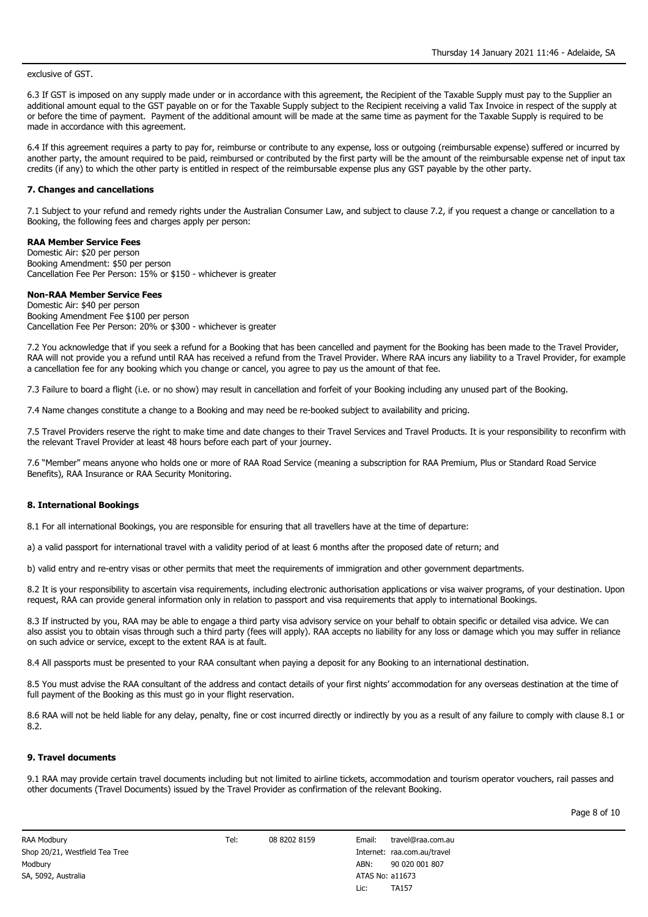exclusive of GST.

6.3 If GST is imposed on any supply made under or in accordance with this agreement, the Recipient of the Taxable Supply must pay to the Supplier an additional amount equal to the GST payable on or for the Taxable Supply subject to the Recipient receiving a valid Tax Invoice in respect of the supply at or before the time of payment. Payment of the additional amount will be made at the same time as payment for the Taxable Supply is required to be made in accordance with this agreement.

6.4 If this agreement requires a party to pay for, reimburse or contribute to any expense, loss or outgoing (reimbursable expense) suffered or incurred by another party, the amount required to be paid, reimbursed or contributed by the first party will be the amount of the reimbursable expense net of input tax credits (if any) to which the other party is entitled in respect of the reimbursable expense plus any GST payable by the other party.

## **7. Changes and cancellations**

7.1 Subject to your refund and remedy rights under the Australian Consumer Law, and subject to clause 7.2, if you request a change or cancellation to a Booking, the following fees and charges apply per person:

## **RAA Member Service Fees**

Domestic Air: \$20 per person Booking Amendment: \$50 per person Cancellation Fee Per Person: 15% or \$150 - whichever is greater

### **Non-RAA Member Service Fees**

Domestic Air: \$40 per person Booking Amendment Fee \$100 per person Cancellation Fee Per Person: 20% or \$300 - whichever is greater

7.2 You acknowledge that if you seek a refund for a Booking that has been cancelled and payment for the Booking has been made to the Travel Provider, RAA will not provide you a refund until RAA has received a refund from the Travel Provider. Where RAA incurs any liability to a Travel Provider, for example a cancellation fee for any booking which you change or cancel, you agree to pay us the amount of that fee.

7.3 Failure to board a flight (i.e. or no show) may result in cancellation and forfeit of your Booking including any unused part of the Booking.

7.4 Name changes constitute a change to a Booking and may need be re-booked subject to availability and pricing.

7.5 Travel Providers reserve the right to make time and date changes to their Travel Services and Travel Products. It is your responsibility to reconfirm with the relevant Travel Provider at least 48 hours before each part of your journey.

7.6 "Member" means anyone who holds one or more of RAA Road Service (meaning a subscription for RAA Premium, Plus or Standard Road Service Benefits), RAA Insurance or RAA Security Monitoring.

#### **8. International Bookings**

8.1 For all international Bookings, you are responsible for ensuring that all travellers have at the time of departure:

a) a valid passport for international travel with a validity period of at least 6 months after the proposed date of return; and

b) valid entry and re-entry visas or other permits that meet the requirements of immigration and other government departments.

8.2 It is your responsibility to ascertain visa requirements, including electronic authorisation applications or visa waiver programs, of your destination. Upon request, RAA can provide general information only in relation to passport and visa requirements that apply to international Bookings.

8.3 If instructed by you, RAA may be able to engage a third party visa advisory service on your behalf to obtain specific or detailed visa advice. We can also assist you to obtain visas through such a third party (fees will apply). RAA accepts no liability for any loss or damage which you may suffer in reliance on such advice or service, except to the extent RAA is at fault.

8.4 All passports must be presented to your RAA consultant when paying a deposit for any Booking to an international destination.

8.5 You must advise the RAA consultant of the address and contact details of your first nights' accommodation for any overseas destination at the time of full payment of the Booking as this must go in your flight reservation.

8.6 RAA will not be held liable for any delay, penalty, fine or cost incurred directly or indirectly by you as a result of any failure to comply with clause 8.1 or 8.2.

## **9. Travel documents**

9.1 RAA may provide certain travel documents including but not limited to airline tickets, accommodation and tourism operator vouchers, rail passes and other documents (Travel Documents) issued by the Travel Provider as confirmation of the relevant Booking.

Page 8 of 10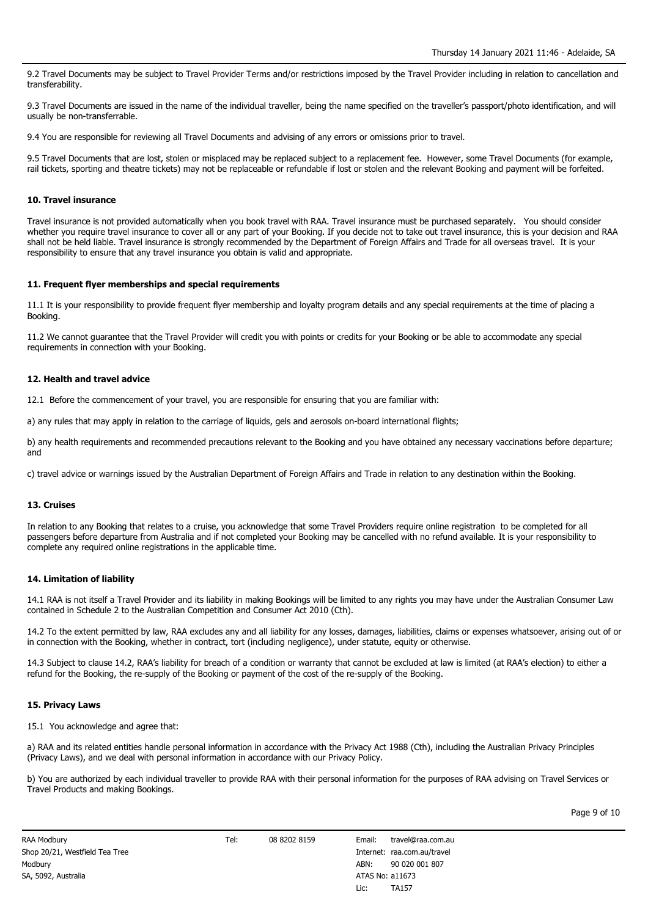9.2 Travel Documents may be subject to Travel Provider Terms and/or restrictions imposed by the Travel Provider including in relation to cancellation and transferability.

9.3 Travel Documents are issued in the name of the individual traveller, being the name specified on the traveller's passport/photo identification, and will usually be non-transferrable.

9.4 You are responsible for reviewing all Travel Documents and advising of any errors or omissions prior to travel.

9.5 Travel Documents that are lost, stolen or misplaced may be replaced subject to a replacement fee. However, some Travel Documents (for example, rail tickets, sporting and theatre tickets) may not be replaceable or refundable if lost or stolen and the relevant Booking and payment will be forfeited.

### **10. Travel insurance**

Travel insurance is not provided automatically when you book travel with RAA. Travel insurance must be purchased separately. You should consider whether you require travel insurance to cover all or any part of your Booking. If you decide not to take out travel insurance, this is your decision and RAA shall not be held liable. Travel insurance is strongly recommended by the Department of Foreign Affairs and Trade for all overseas travel. It is your responsibility to ensure that any travel insurance you obtain is valid and appropriate.

### **11. Frequent flyer memberships and special requirements**

11.1 It is your responsibility to provide frequent flyer membership and loyalty program details and any special requirements at the time of placing a Booking.

11.2 We cannot guarantee that the Travel Provider will credit you with points or credits for your Booking or be able to accommodate any special requirements in connection with your Booking.

### **12. Health and travel advice**

12.1 Before the commencement of your travel, you are responsible for ensuring that you are familiar with:

a) any rules that may apply in relation to the carriage of liquids, gels and aerosols on-board international flights;

b) any health requirements and recommended precautions relevant to the Booking and you have obtained any necessary vaccinations before departure; and

c) travel advice or warnings issued by the Australian Department of Foreign Affairs and Trade in relation to any destination within the Booking.

#### **13. Cruises**

In relation to any Booking that relates to a cruise, you acknowledge that some Travel Providers require online registration to be completed for all passengers before departure from Australia and if not completed your Booking may be cancelled with no refund available. It is your responsibility to complete any required online registrations in the applicable time.

## **14. Limitation of liability**

14.1 RAA is not itself a Travel Provider and its liability in making Bookings will be limited to any rights you may have under the Australian Consumer Law contained in Schedule 2 to the Australian Competition and Consumer Act 2010 (Cth).

14.2 To the extent permitted by law, RAA excludes any and all liability for any losses, damages, liabilities, claims or expenses whatsoever, arising out of or in connection with the Booking, whether in contract, tort (including negligence), under statute, equity or otherwise.

14.3 Subject to clause 14.2, RAA's liability for breach of a condition or warranty that cannot be excluded at law is limited (at RAA's election) to either a refund for the Booking, the re-supply of the Booking or payment of the cost of the re-supply of the Booking.

#### **15. Privacy Laws**

15.1 You acknowledge and agree that:

a) RAA and its related entities handle personal information in accordance with the Privacy Act 1988 (Cth), including the Australian Privacy Principles (Privacy Laws), and we deal with personal information in accordance with our Privacy Policy.

b) You are authorized by each individual traveller to provide RAA with their personal information for the purposes of RAA advising on Travel Services or Travel Products and making Bookings.

Tel: 08 8202 8159